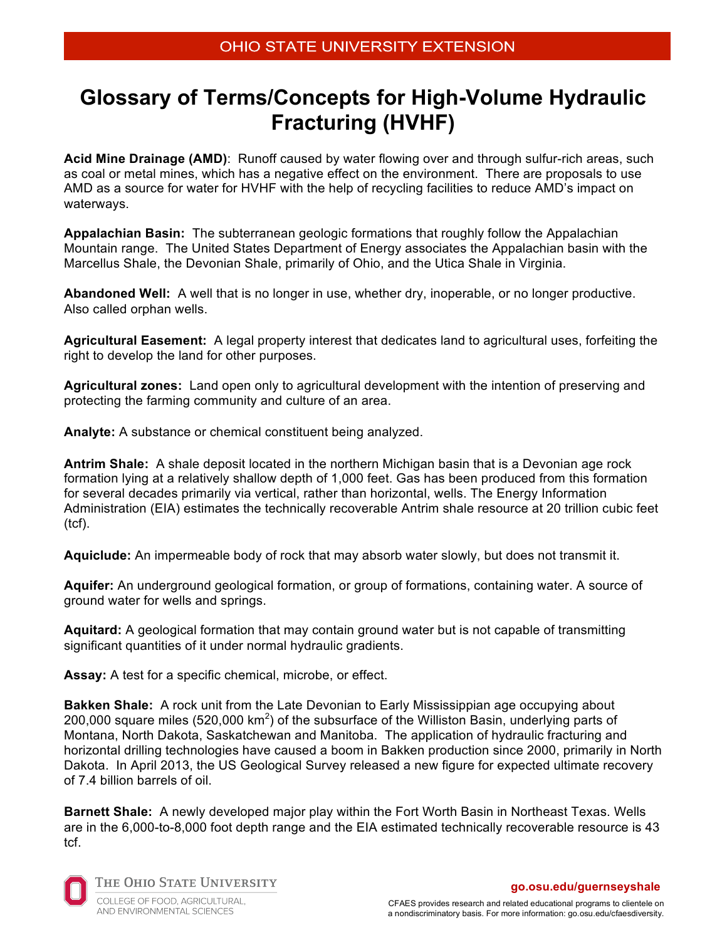# **Glossary of Terms/Concepts for High-Volume Hydraulic Fracturing (HVHF)**

**Acid Mine Drainage (AMD)**: Runoff caused by water flowing over and through sulfur-rich areas, such as coal or metal mines, which has a negative effect on the environment. There are proposals to use AMD as a source for water for HVHF with the help of recycling facilities to reduce AMD's impact on waterways.

**Appalachian Basin:** The subterranean geologic formations that roughly follow the Appalachian Mountain range. The United States Department of Energy associates the Appalachian basin with the Marcellus Shale, the Devonian Shale, primarily of Ohio, and the Utica Shale in Virginia.

**Abandoned Well:** A well that is no longer in use, whether dry, inoperable, or no longer productive. Also called orphan wells.

**Agricultural Easement:** A legal property interest that dedicates land to agricultural uses, forfeiting the right to develop the land for other purposes.

**Agricultural zones:** Land open only to agricultural development with the intention of preserving and protecting the farming community and culture of an area.

**Analyte:** A substance or chemical constituent being analyzed.

**Antrim Shale:** A shale deposit located in the northern Michigan basin that is a Devonian age rock formation lying at a relatively shallow depth of 1,000 feet. Gas has been produced from this formation for several decades primarily via vertical, rather than horizontal, wells. The Energy Information Administration (EIA) estimates the technically recoverable Antrim shale resource at 20 trillion cubic feet (tcf).

**Aquiclude:** An impermeable body of rock that may absorb water slowly, but does not transmit it.

**Aquifer:** An underground geological formation, or group of formations, containing water. A source of ground water for wells and springs.

**Aquitard:** A geological formation that may contain ground water but is not capable of transmitting significant quantities of it under normal hydraulic gradients.

**Assay:** A test for a specific chemical, microbe, or effect.

**Bakken Shale:** A rock unit from the Late Devonian to Early Mississippian age occupying about 200,000 square miles (520,000 km<sup>2</sup>) of the subsurface of the Williston Basin, underlying parts of Montana, North Dakota, Saskatchewan and Manitoba. The application of hydraulic fracturing and horizontal drilling technologies have caused a boom in Bakken production since 2000, primarily in North Dakota. In April 2013, the US Geological Survey released a new figure for expected ultimate recovery of 7.4 billion barrels of oil.

**Barnett Shale:** A newly developed major play within the Fort Worth Basin in Northeast Texas. Wells are in the 6,000-to-8,000 foot depth range and the EIA estimated technically recoverable resource is 43 tcf.



THE OHIO STATE UNIVERSITY

COLLEGE OF FOOD, AGRICULTURAL, AND ENVIRONMENTAL SCIENCES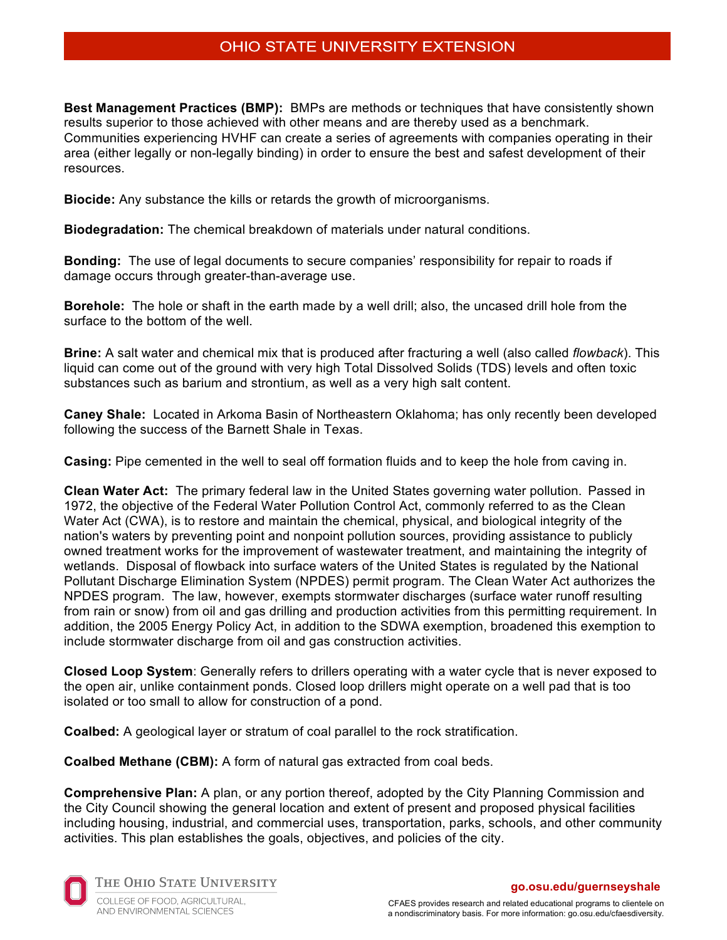**Best Management Practices (BMP):** BMPs are methods or techniques that have consistently shown results superior to those achieved with other means and are thereby used as a benchmark. Communities experiencing HVHF can create a series of agreements with companies operating in their area (either legally or non-legally binding) in order to ensure the best and safest development of their resources.

**Biocide:** Any substance the kills or retards the growth of microorganisms.

**Biodegradation:** The chemical breakdown of materials under natural conditions.

**Bonding:** The use of legal documents to secure companies' responsibility for repair to roads if damage occurs through greater-than-average use.

**Borehole:** The hole or shaft in the earth made by a well drill; also, the uncased drill hole from the surface to the bottom of the well.

**Brine:** A salt water and chemical mix that is produced after fracturing a well (also called *flowback*). This liquid can come out of the ground with very high Total Dissolved Solids (TDS) levels and often toxic substances such as barium and strontium, as well as a very high salt content.

**Caney Shale:** Located in Arkoma Basin of Northeastern Oklahoma; has only recently been developed following the success of the Barnett Shale in Texas.

**Casing:** Pipe cemented in the well to seal off formation fluids and to keep the hole from caving in.

**Clean Water Act:** The primary federal law in the United States governing water pollution. Passed in 1972, the objective of the Federal Water Pollution Control Act, commonly referred to as the Clean Water Act (CWA), is to restore and maintain the chemical, physical, and biological integrity of the nation's waters by preventing point and nonpoint pollution sources, providing assistance to publicly owned treatment works for the improvement of wastewater treatment, and maintaining the integrity of wetlands. Disposal of flowback into surface waters of the United States is regulated by the National Pollutant Discharge Elimination System (NPDES) permit program. The Clean Water Act authorizes the NPDES program. The law, however, exempts stormwater discharges (surface water runoff resulting from rain or snow) from oil and gas drilling and production activities from this permitting requirement. In addition, the 2005 Energy Policy Act, in addition to the SDWA exemption, broadened this exemption to include stormwater discharge from oil and gas construction activities.

**Closed Loop System**: Generally refers to drillers operating with a water cycle that is never exposed to the open air, unlike containment ponds. Closed loop drillers might operate on a well pad that is too isolated or too small to allow for construction of a pond.

**Coalbed:** A geological layer or stratum of coal parallel to the rock stratification.

**Coalbed Methane (CBM):** A form of natural gas extracted from coal beds.

**Comprehensive Plan:** A plan, or any portion thereof, adopted by the City Planning Commission and the City Council showing the general location and extent of present and proposed physical facilities including housing, industrial, and commercial uses, transportation, parks, schools, and other community activities. This plan establishes the goals, objectives, and policies of the city.



THE OHIO STATE UNIVERSITY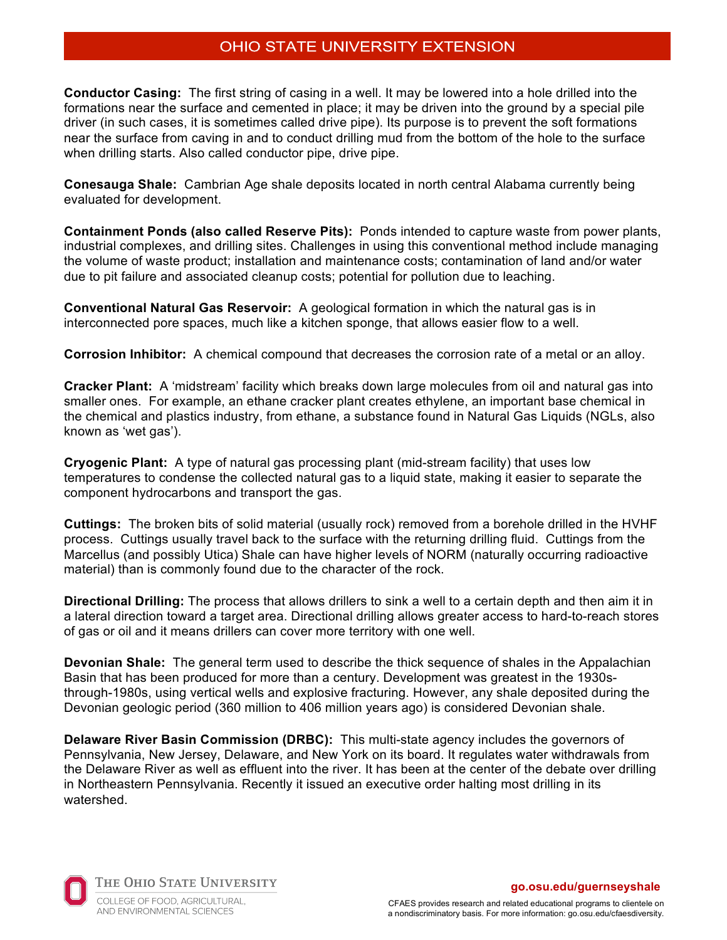**Conductor Casing:** The first string of casing in a well. It may be lowered into a hole drilled into the formations near the surface and cemented in place; it may be driven into the ground by a special pile driver (in such cases, it is sometimes called drive pipe). Its purpose is to prevent the soft formations near the surface from caving in and to conduct drilling mud from the bottom of the hole to the surface when drilling starts. Also called conductor pipe, drive pipe.

**Conesauga Shale:** Cambrian Age shale deposits located in north central Alabama currently being evaluated for development.

**Containment Ponds (also called Reserve Pits):** Ponds intended to capture waste from power plants, industrial complexes, and drilling sites. Challenges in using this conventional method include managing the volume of waste product; installation and maintenance costs; contamination of land and/or water due to pit failure and associated cleanup costs; potential for pollution due to leaching.

**Conventional Natural Gas Reservoir:** A geological formation in which the natural gas is in interconnected pore spaces, much like a kitchen sponge, that allows easier flow to a well.

**Corrosion Inhibitor:** A chemical compound that decreases the corrosion rate of a metal or an alloy.

**Cracker Plant:** A 'midstream' facility which breaks down large molecules from oil and natural gas into smaller ones. For example, an ethane cracker plant creates ethylene, an important base chemical in the chemical and plastics industry, from ethane, a substance found in Natural Gas Liquids (NGLs, also known as 'wet gas').

**Cryogenic Plant:** A type of natural gas processing plant (mid-stream facility) that uses low temperatures to condense the collected natural gas to a liquid state, making it easier to separate the component hydrocarbons and transport the gas.

**Cuttings:** The broken bits of solid material (usually rock) removed from a borehole drilled in the HVHF process. Cuttings usually travel back to the surface with the returning drilling fluid. Cuttings from the Marcellus (and possibly Utica) Shale can have higher levels of NORM (naturally occurring radioactive material) than is commonly found due to the character of the rock.

**Directional Drilling:** The process that allows drillers to sink a well to a certain depth and then aim it in a lateral direction toward a target area. Directional drilling allows greater access to hard-to-reach stores of gas or oil and it means drillers can cover more territory with one well.

**Devonian Shale:** The general term used to describe the thick sequence of shales in the Appalachian Basin that has been produced for more than a century. Development was greatest in the 1930sthrough-1980s, using vertical wells and explosive fracturing. However, any shale deposited during the Devonian geologic period (360 million to 406 million years ago) is considered Devonian shale.

**Delaware River Basin Commission (DRBC):** This multi-state agency includes the governors of Pennsylvania, New Jersey, Delaware, and New York on its board. It regulates water withdrawals from the Delaware River as well as effluent into the river. It has been at the center of the debate over drilling in Northeastern Pennsylvania. Recently it issued an executive order halting most drilling in its watershed.



THE OHIO STATE UNIVERSITY COLLEGE OF FOOD, AGRICULTURAL, AND ENVIRONMENTAL SCIENCES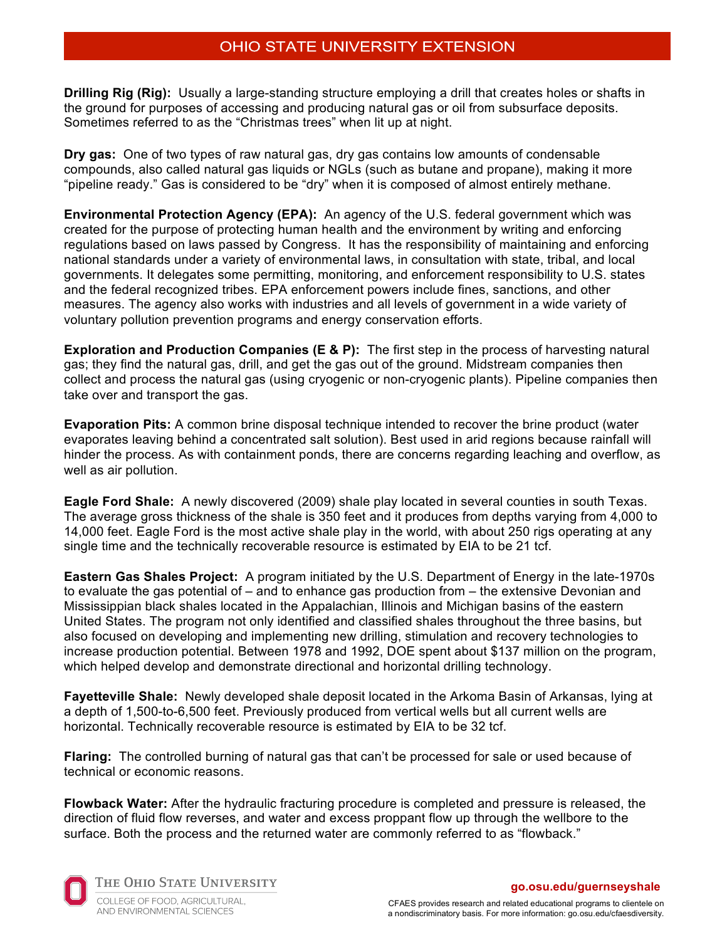**Drilling Rig (Rig):** Usually a large-standing structure employing a drill that creates holes or shafts in the ground for purposes of accessing and producing natural gas or oil from subsurface deposits. Sometimes referred to as the "Christmas trees" when lit up at night.

**Dry gas:** One of two types of raw natural gas, dry gas contains low amounts of condensable compounds, also called natural gas liquids or NGLs (such as butane and propane), making it more "pipeline ready." Gas is considered to be "dry" when it is composed of almost entirely methane.

**Environmental Protection Agency (EPA):** An agency of the U.S. federal government which was created for the purpose of protecting human health and the environment by writing and enforcing regulations based on laws passed by Congress. It has the responsibility of maintaining and enforcing national standards under a variety of environmental laws, in consultation with state, tribal, and local governments. It delegates some permitting, monitoring, and enforcement responsibility to U.S. states and the federal recognized tribes. EPA enforcement powers include fines, sanctions, and other measures. The agency also works with industries and all levels of government in a wide variety of voluntary pollution prevention programs and energy conservation efforts.

**Exploration and Production Companies (E & P):** The first step in the process of harvesting natural gas; they find the natural gas, drill, and get the gas out of the ground. Midstream companies then collect and process the natural gas (using cryogenic or non-cryogenic plants). Pipeline companies then take over and transport the gas.

**Evaporation Pits:** A common brine disposal technique intended to recover the brine product (water evaporates leaving behind a concentrated salt solution). Best used in arid regions because rainfall will hinder the process. As with containment ponds, there are concerns regarding leaching and overflow, as well as air pollution.

**Eagle Ford Shale:** A newly discovered (2009) shale play located in several counties in south Texas. The average gross thickness of the shale is 350 feet and it produces from depths varying from 4,000 to 14,000 feet. Eagle Ford is the most active shale play in the world, with about 250 rigs operating at any single time and the technically recoverable resource is estimated by EIA to be 21 tcf.

**Eastern Gas Shales Project:** A program initiated by the U.S. Department of Energy in the late-1970s to evaluate the gas potential of – and to enhance gas production from – the extensive Devonian and Mississippian black shales located in the Appalachian, Illinois and Michigan basins of the eastern United States. The program not only identified and classified shales throughout the three basins, but also focused on developing and implementing new drilling, stimulation and recovery technologies to increase production potential. Between 1978 and 1992, DOE spent about \$137 million on the program, which helped develop and demonstrate directional and horizontal drilling technology.

**Fayetteville Shale:** Newly developed shale deposit located in the Arkoma Basin of Arkansas, lying at a depth of 1,500-to-6,500 feet. Previously produced from vertical wells but all current wells are horizontal. Technically recoverable resource is estimated by EIA to be 32 tcf.

**Flaring:** The controlled burning of natural gas that can't be processed for sale or used because of technical or economic reasons.

**Flowback Water:** After the hydraulic fracturing procedure is completed and pressure is released, the direction of fluid flow reverses, and water and excess proppant flow up through the wellbore to the surface. Both the process and the returned water are commonly referred to as "flowback."



THE OHIO STATE UNIVERSITY

COLLEGE OF FOOD, AGRICULTURAL, AND ENVIRONMENTAL SCIENCES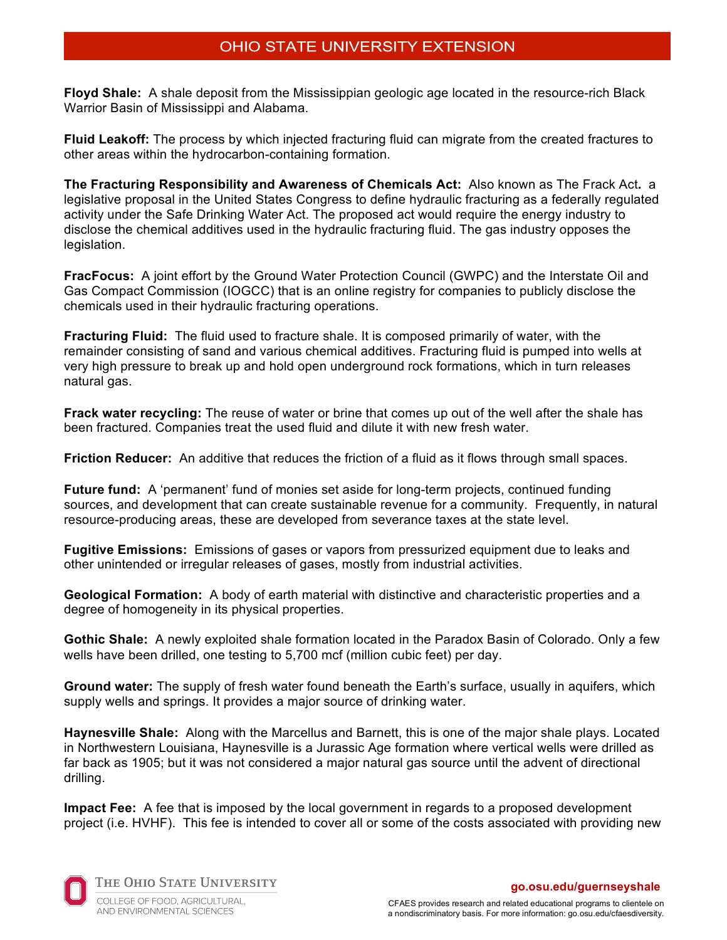**Floyd Shale:** A shale deposit from the Mississippian geologic age located in the resource-rich Black Warrior Basin of Mississippi and Alabama.

**Fluid Leakoff:** The process by which injected fracturing fluid can migrate from the created fractures to other areas within the hydrocarbon-containing formation.

**The Fracturing Responsibility and Awareness of Chemicals Act:** Also known as The Frack Act**.** a legislative proposal in the United States Congress to define hydraulic fracturing as a federally regulated activity under the Safe Drinking Water Act. The proposed act would require the energy industry to disclose the chemical additives used in the hydraulic fracturing fluid. The gas industry opposes the legislation.

**FracFocus:** A joint effort by the Ground Water Protection Council (GWPC) and the Interstate Oil and Gas Compact Commission (IOGCC) that is an online registry for companies to publicly disclose the chemicals used in their hydraulic fracturing operations.

**Fracturing Fluid:** The fluid used to fracture shale. It is composed primarily of water, with the remainder consisting of sand and various chemical additives. Fracturing fluid is pumped into wells at very high pressure to break up and hold open underground rock formations, which in turn releases natural gas.

**Frack water recycling:** The reuse of water or brine that comes up out of the well after the shale has been fractured. Companies treat the used fluid and dilute it with new fresh water.

**Friction Reducer:** An additive that reduces the friction of a fluid as it flows through small spaces.

Future fund: A 'permanent' fund of monies set aside for long-term projects, continued funding sources, and development that can create sustainable revenue for a community. Frequently, in natural resource-producing areas, these are developed from severance taxes at the state level.

**Fugitive Emissions:** Emissions of gases or vapors from pressurized equipment due to leaks and other unintended or irregular releases of gases, mostly from industrial activities.

**Geological Formation:** A body of earth material with distinctive and characteristic properties and a degree of homogeneity in its physical properties.

**Gothic Shale:** A newly exploited shale formation located in the Paradox Basin of Colorado. Only a few wells have been drilled, one testing to 5,700 mcf (million cubic feet) per day.

**Ground water:** The supply of fresh water found beneath the Earth's surface, usually in aquifers, which supply wells and springs. It provides a major source of drinking water.

**Haynesville Shale:** Along with the Marcellus and Barnett, this is one of the major shale plays. Located in Northwestern Louisiana, Haynesville is a Jurassic Age formation where vertical wells were drilled as far back as 1905; but it was not considered a major natural gas source until the advent of directional drilling.

**Impact Fee:** A fee that is imposed by the local government in regards to a proposed development project (i.e. HVHF). This fee is intended to cover all or some of the costs associated with providing new



THE OHIO STATE UNIVERSITY COLLEGE OF FOOD, AGRICULTURAL,

AND ENVIRONMENTAL SCIENCES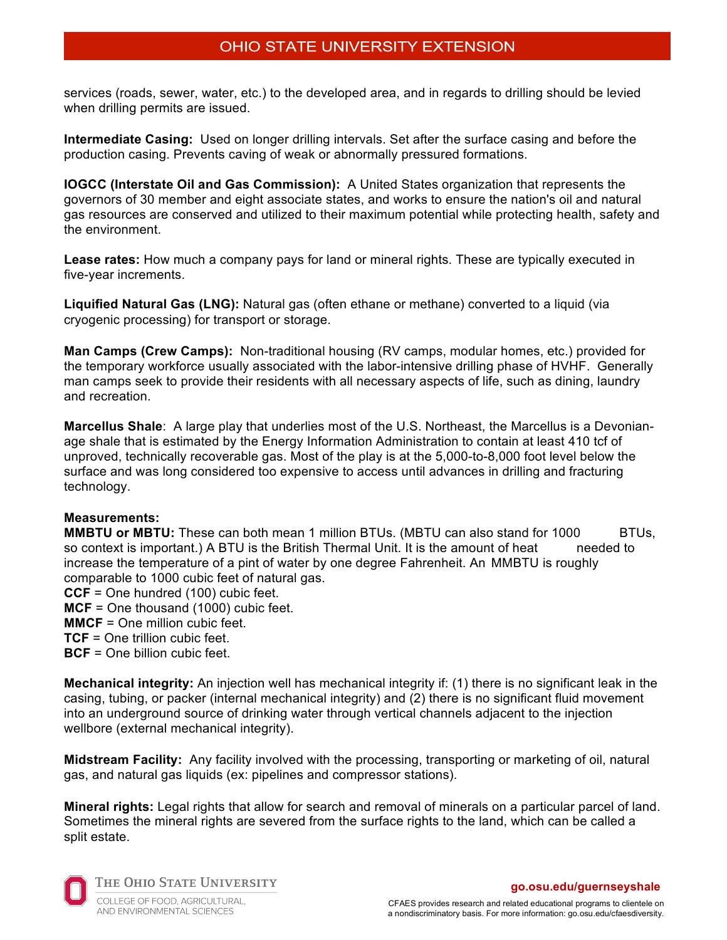services (roads, sewer, water, etc.) to the developed area, and in regards to drilling should be levied when drilling permits are issued.

**Intermediate Casing:** Used on longer drilling intervals. Set after the surface casing and before the production casing. Prevents caving of weak or abnormally pressured formations.

**IOGCC (Interstate Oil and Gas Commission):** A United States organization that represents the governors of 30 member and eight associate states, and works to ensure the nation's oil and natural gas resources are conserved and utilized to their maximum potential while protecting health, safety and the environment.

**Lease rates:** How much a company pays for land or mineral rights. These are typically executed in five-year increments.

**Liquified Natural Gas (LNG):** Natural gas (often ethane or methane) converted to a liquid (via cryogenic processing) for transport or storage.

**Man Camps (Crew Camps):** Non-traditional housing (RV camps, modular homes, etc.) provided for the temporary workforce usually associated with the labor-intensive drilling phase of HVHF. Generally man camps seek to provide their residents with all necessary aspects of life, such as dining, laundry and recreation.

**Marcellus Shale**: A large play that underlies most of the U.S. Northeast, the Marcellus is a Devonianage shale that is estimated by the Energy Information Administration to contain at least 410 tcf of unproved, technically recoverable gas. Most of the play is at the 5,000-to-8,000 foot level below the surface and was long considered too expensive to access until advances in drilling and fracturing technology.

### **Measurements:**

**MMBTU or MBTU:** These can both mean 1 million BTUs. (MBTU can also stand for 1000 BTUs, so context is important.) A BTU is the British Thermal Unit. It is the amount of heat needed to increase the temperature of a pint of water by one degree Fahrenheit. An MMBTU is roughly comparable to 1000 cubic feet of natural gas.

**CCF** = One hundred (100) cubic feet.

**MCF** = One thousand (1000) cubic feet.

**MMCF** = One million cubic feet.

**TCF** = One trillion cubic feet.

**BCF** = One billion cubic feet.

**Mechanical integrity:** An injection well has mechanical integrity if: (1) there is no significant leak in the casing, tubing, or packer (internal mechanical integrity) and (2) there is no significant fluid movement into an underground source of drinking water through vertical channels adjacent to the injection wellbore (external mechanical integrity).

**Midstream Facility:** Any facility involved with the processing, transporting or marketing of oil, natural gas, and natural gas liquids (ex: pipelines and compressor stations).

**Mineral rights:** Legal rights that allow for search and removal of minerals on a particular parcel of land. Sometimes the mineral rights are severed from the surface rights to the land, which can be called a split estate.



THE OHIO STATE UNIVERSITY

COLLEGE OF FOOD, AGRICULTURAL, AND ENVIRONMENTAL SCIENCES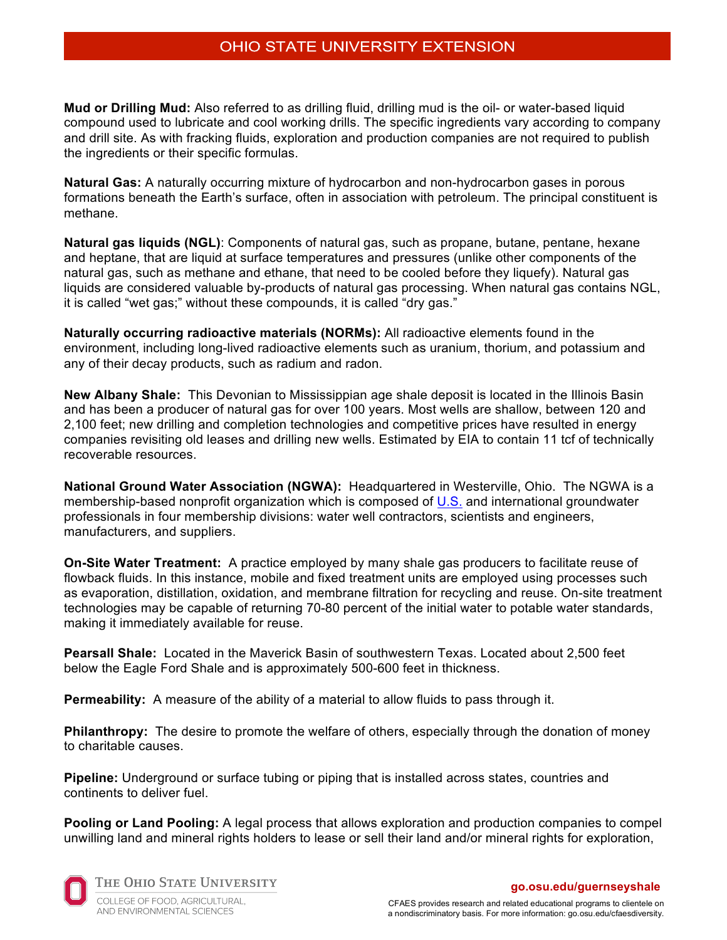**Mud or Drilling Mud:** Also referred to as drilling fluid, drilling mud is the oil- or water-based liquid compound used to lubricate and cool working drills. The specific ingredients vary according to company and drill site. As with fracking fluids, exploration and production companies are not required to publish the ingredients or their specific formulas.

**Natural Gas:** A naturally occurring mixture of hydrocarbon and non-hydrocarbon gases in porous formations beneath the Earth's surface, often in association with petroleum. The principal constituent is methane.

**Natural gas liquids (NGL)**: Components of natural gas, such as propane, butane, pentane, hexane and heptane, that are liquid at surface temperatures and pressures (unlike other components of the natural gas, such as methane and ethane, that need to be cooled before they liquefy). Natural gas liquids are considered valuable by-products of natural gas processing. When natural gas contains NGL, it is called "wet gas;" without these compounds, it is called "dry gas."

**Naturally occurring radioactive materials (NORMs):** All radioactive elements found in the environment, including long-lived radioactive elements such as uranium, thorium, and potassium and any of their decay products, such as radium and radon.

**New Albany Shale:** This Devonian to Mississippian age shale deposit is located in the Illinois Basin and has been a producer of natural gas for over 100 years. Most wells are shallow, between 120 and 2,100 feet; new drilling and completion technologies and competitive prices have resulted in energy companies revisiting old leases and drilling new wells. Estimated by EIA to contain 11 tcf of technically recoverable resources.

**National Ground Water Association (NGWA):** Headquartered in Westerville, Ohio. The NGWA is a membership-based nonprofit organization which is composed of U.S. and international groundwater professionals in four membership divisions: water well contractors, scientists and engineers, manufacturers, and suppliers.

**On-Site Water Treatment:** A practice employed by many shale gas producers to facilitate reuse of flowback fluids. In this instance, mobile and fixed treatment units are employed using processes such as evaporation, distillation, oxidation, and membrane filtration for recycling and reuse. On-site treatment technologies may be capable of returning 70-80 percent of the initial water to potable water standards, making it immediately available for reuse.

**Pearsall Shale:** Located in the Maverick Basin of southwestern Texas. Located about 2,500 feet below the Eagle Ford Shale and is approximately 500-600 feet in thickness.

**Permeability:** A measure of the ability of a material to allow fluids to pass through it.

**Philanthropy:** The desire to promote the welfare of others, especially through the donation of money to charitable causes.

**Pipeline:** Underground or surface tubing or piping that is installed across states, countries and continents to deliver fuel.

**Pooling or Land Pooling:** A legal process that allows exploration and production companies to compel unwilling land and mineral rights holders to lease or sell their land and/or mineral rights for exploration,



THE OHIO STATE UNIVERSITY

COLLEGE OF FOOD, AGRICULTURAL, AND ENVIRONMENTAL SCIENCES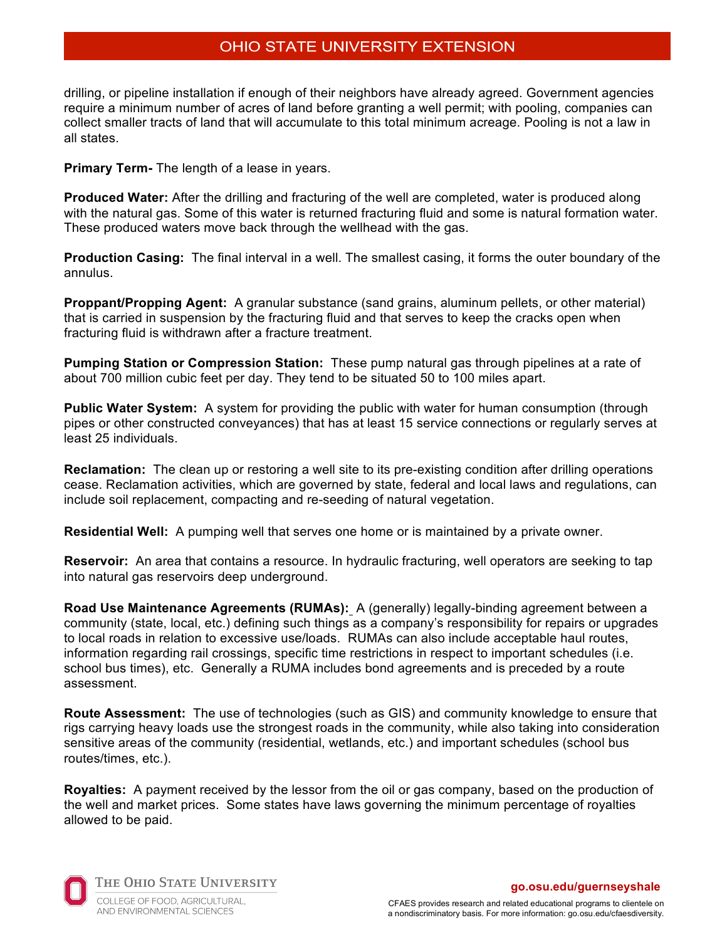drilling, or pipeline installation if enough of their neighbors have already agreed. Government agencies require a minimum number of acres of land before granting a well permit; with pooling, companies can collect smaller tracts of land that will accumulate to this total minimum acreage. Pooling is not a law in all states.

**Primary Term-** The length of a lease in years.

**Produced Water:** After the drilling and fracturing of the well are completed, water is produced along with the natural gas. Some of this water is returned fracturing fluid and some is natural formation water. These produced waters move back through the wellhead with the gas.

**Production Casing:** The final interval in a well. The smallest casing, it forms the outer boundary of the annulus.

**Proppant/Propping Agent:** A granular substance (sand grains, aluminum pellets, or other material) that is carried in suspension by the fracturing fluid and that serves to keep the cracks open when fracturing fluid is withdrawn after a fracture treatment.

**Pumping Station or Compression Station:** These pump natural gas through pipelines at a rate of about 700 million cubic feet per day. They tend to be situated 50 to 100 miles apart.

**Public Water System:** A system for providing the public with water for human consumption (through pipes or other constructed conveyances) that has at least 15 service connections or regularly serves at least 25 individuals.

**Reclamation:** The clean up or restoring a well site to its pre-existing condition after drilling operations cease. Reclamation activities, which are governed by state, federal and local laws and regulations, can include soil replacement, compacting and re-seeding of natural vegetation.

**Residential Well:** A pumping well that serves one home or is maintained by a private owner.

**Reservoir:** An area that contains a resource. In hydraulic fracturing, well operators are seeking to tap into natural gas reservoirs deep underground.

**Road Use Maintenance Agreements (RUMAs):** A (generally) legally-binding agreement between a community (state, local, etc.) defining such things as a company's responsibility for repairs or upgrades to local roads in relation to excessive use/loads. RUMAs can also include acceptable haul routes, information regarding rail crossings, specific time restrictions in respect to important schedules (i.e. school bus times), etc. Generally a RUMA includes bond agreements and is preceded by a route assessment.

**Route Assessment:** The use of technologies (such as GIS) and community knowledge to ensure that rigs carrying heavy loads use the strongest roads in the community, while also taking into consideration sensitive areas of the community (residential, wetlands, etc.) and important schedules (school bus routes/times, etc.).

**Royalties:** A payment received by the lessor from the oil or gas company, based on the production of the well and market prices. Some states have laws governing the minimum percentage of royalties allowed to be paid.



THE OHIO STATE UNIVERSITY COLLEGE OF FOOD, AGRICULTURAL, AND ENVIRONMENTAL SCIENCES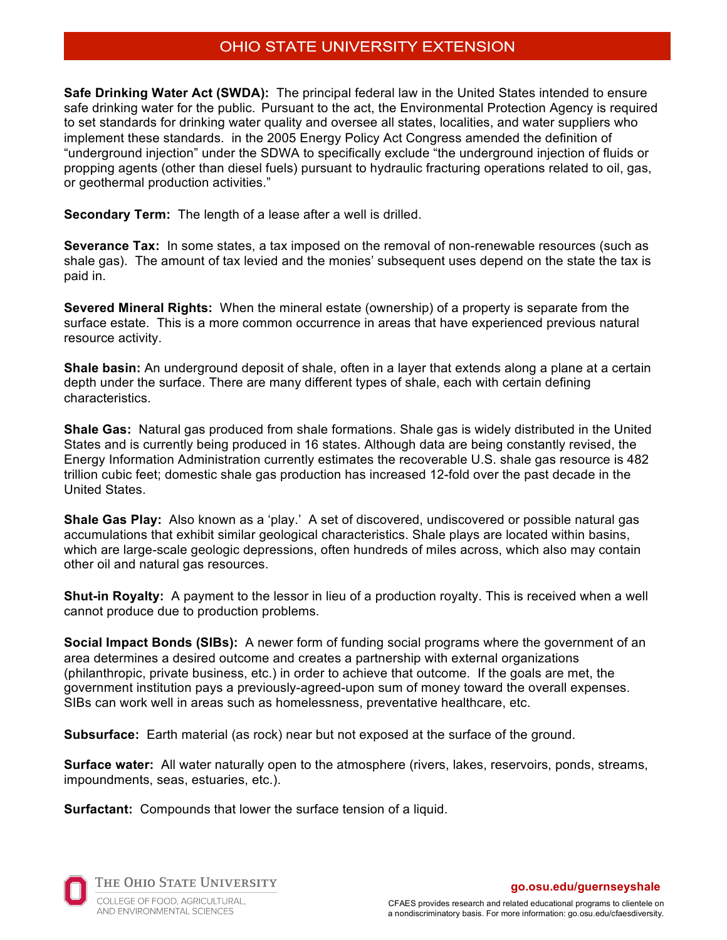**Safe Drinking Water Act (SWDA):** The principal federal law in the United States intended to ensure safe drinking water for the public. Pursuant to the act, the Environmental Protection Agency is required to set standards for drinking water quality and oversee all states, localities, and water suppliers who implement these standards. in the 2005 Energy Policy Act Congress amended the definition of "underground injection" under the SDWA to specifically exclude "the underground injection of fluids or propping agents (other than diesel fuels) pursuant to hydraulic fracturing operations related to oil, gas, or geothermal production activities."

**Secondary Term:** The length of a lease after a well is drilled.

**Severance Tax:** In some states, a tax imposed on the removal of non-renewable resources (such as shale gas). The amount of tax levied and the monies' subsequent uses depend on the state the tax is paid in.

**Severed Mineral Rights:** When the mineral estate (ownership) of a property is separate from the surface estate. This is a more common occurrence in areas that have experienced previous natural resource activity.

**Shale basin:** An underground deposit of shale, often in a layer that extends along a plane at a certain depth under the surface. There are many different types of shale, each with certain defining characteristics.

**Shale Gas:** Natural gas produced from shale formations. Shale gas is widely distributed in the United States and is currently being produced in 16 states. Although data are being constantly revised, the Energy Information Administration currently estimates the recoverable U.S. shale gas resource is 482 trillion cubic feet; domestic shale gas production has increased 12-fold over the past decade in the United States.

**Shale Gas Play:** Also known as a 'play.' A set of discovered, undiscovered or possible natural gas accumulations that exhibit similar geological characteristics. Shale plays are located within basins, which are large-scale geologic depressions, often hundreds of miles across, which also may contain other oil and natural gas resources.

**Shut-in Royalty:** A payment to the lessor in lieu of a production royalty. This is received when a well cannot produce due to production problems.

**Social Impact Bonds (SIBs):** A newer form of funding social programs where the government of an area determines a desired outcome and creates a partnership with external organizations (philanthropic, private business, etc.) in order to achieve that outcome. If the goals are met, the government institution pays a previously-agreed-upon sum of money toward the overall expenses. SIBs can work well in areas such as homelessness, preventative healthcare, etc.

**Subsurface:** Earth material (as rock) near but not exposed at the surface of the ground.

**Surface water:** All water naturally open to the atmosphere (rivers, lakes, reservoirs, ponds, streams, impoundments, seas, estuaries, etc.).

**Surfactant:** Compounds that lower the surface tension of a liquid.



THE OHIO STATE UNIVERSITY COLLEGE OF FOOD, AGRICULTURAL, AND ENVIRONMENTAL SCIENCES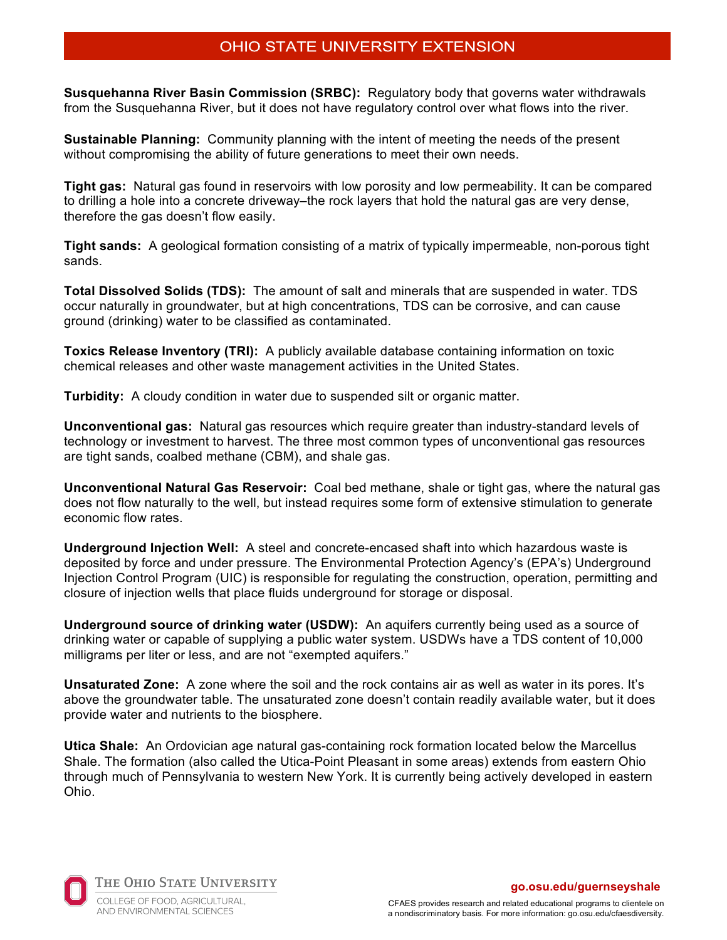**Susquehanna River Basin Commission (SRBC):** Regulatory body that governs water withdrawals from the Susquehanna River, but it does not have regulatory control over what flows into the river.

**Sustainable Planning:** Community planning with the intent of meeting the needs of the present without compromising the ability of future generations to meet their own needs.

**Tight gas:** Natural gas found in reservoirs with low porosity and low permeability. It can be compared to drilling a hole into a concrete driveway–the rock layers that hold the natural gas are very dense, therefore the gas doesn't flow easily.

**Tight sands:** A geological formation consisting of a matrix of typically impermeable, non-porous tight sands.

**Total Dissolved Solids (TDS):** The amount of salt and minerals that are suspended in water. TDS occur naturally in groundwater, but at high concentrations, TDS can be corrosive, and can cause ground (drinking) water to be classified as contaminated.

**Toxics Release Inventory (TRI):** A publicly available database containing information on toxic chemical releases and other waste management activities in the United States.

**Turbidity:** A cloudy condition in water due to suspended silt or organic matter.

**Unconventional gas:** Natural gas resources which require greater than industry-standard levels of technology or investment to harvest. The three most common types of unconventional gas resources are tight sands, coalbed methane (CBM), and shale gas.

**Unconventional Natural Gas Reservoir:** Coal bed methane, shale or tight gas, where the natural gas does not flow naturally to the well, but instead requires some form of extensive stimulation to generate economic flow rates.

**Underground Injection Well:** A steel and concrete-encased shaft into which hazardous waste is deposited by force and under pressure. The Environmental Protection Agency's (EPA's) Underground Injection Control Program (UIC) is responsible for regulating the construction, operation, permitting and closure of injection wells that place fluids underground for storage or disposal.

**Underground source of drinking water (USDW):** An aquifers currently being used as a source of drinking water or capable of supplying a public water system. USDWs have a TDS content of 10,000 milligrams per liter or less, and are not "exempted aquifers."

**Unsaturated Zone:** A zone where the soil and the rock contains air as well as water in its pores. It's above the groundwater table. The unsaturated zone doesn't contain readily available water, but it does provide water and nutrients to the biosphere.

**Utica Shale:** An Ordovician age natural gas-containing rock formation located below the Marcellus Shale. The formation (also called the Utica-Point Pleasant in some areas) extends from eastern Ohio through much of Pennsylvania to western New York. It is currently being actively developed in eastern Ohio.



THE OHIO STATE UNIVERSITY COLLEGE OF FOOD, AGRICULTURAL,

AND ENVIRONMENTAL SCIENCES